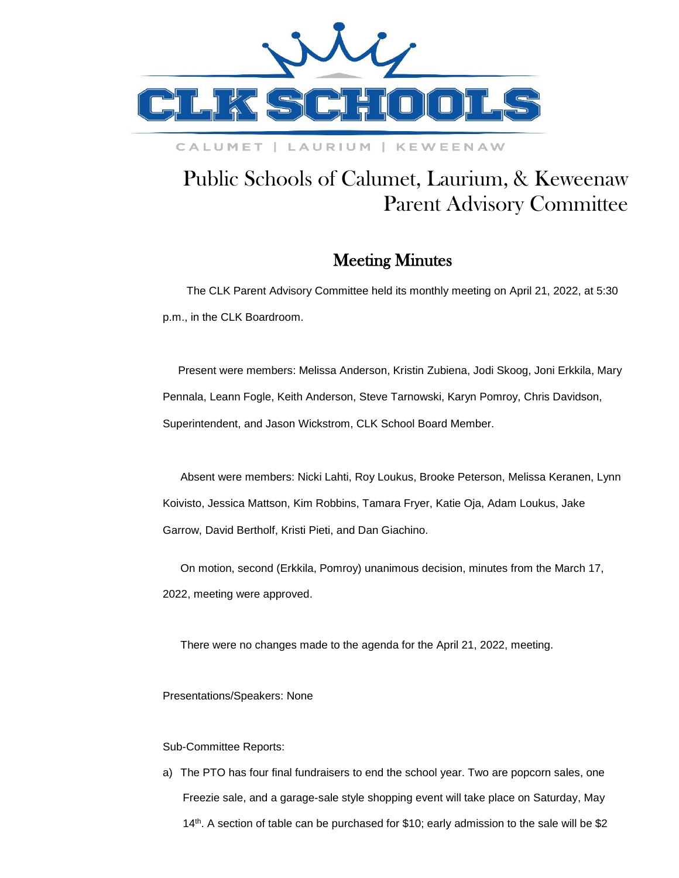

### CALUMET | LAURIUM | KEWEENAW

# Public Schools of Calumet, Laurium, & Keweenaw Parent Advisory Committee

## Meeting Minutes

 The CLK Parent Advisory Committee held its monthly meeting on April 21, 2022, at 5:30 p.m., in the CLK Boardroom.

 Present were members: Melissa Anderson, Kristin Zubiena, Jodi Skoog, Joni Erkkila, Mary Pennala, Leann Fogle, Keith Anderson, Steve Tarnowski, Karyn Pomroy, Chris Davidson, Superintendent, and Jason Wickstrom, CLK School Board Member.

Absent were members: Nicki Lahti, Roy Loukus, Brooke Peterson, Melissa Keranen, Lynn Koivisto, Jessica Mattson, Kim Robbins, Tamara Fryer, Katie Oja, Adam Loukus, Jake Garrow, David Bertholf, Kristi Pieti, and Dan Giachino.

On motion, second (Erkkila, Pomroy) unanimous decision, minutes from the March 17, 2022, meeting were approved.

There were no changes made to the agenda for the April 21, 2022, meeting.

Presentations/Speakers: None

#### Sub-Committee Reports:

a) The PTO has four final fundraisers to end the school year. Two are popcorn sales, one Freezie sale, and a garage-sale style shopping event will take place on Saturday, May 14th . A section of table can be purchased for \$10; early admission to the sale will be \$2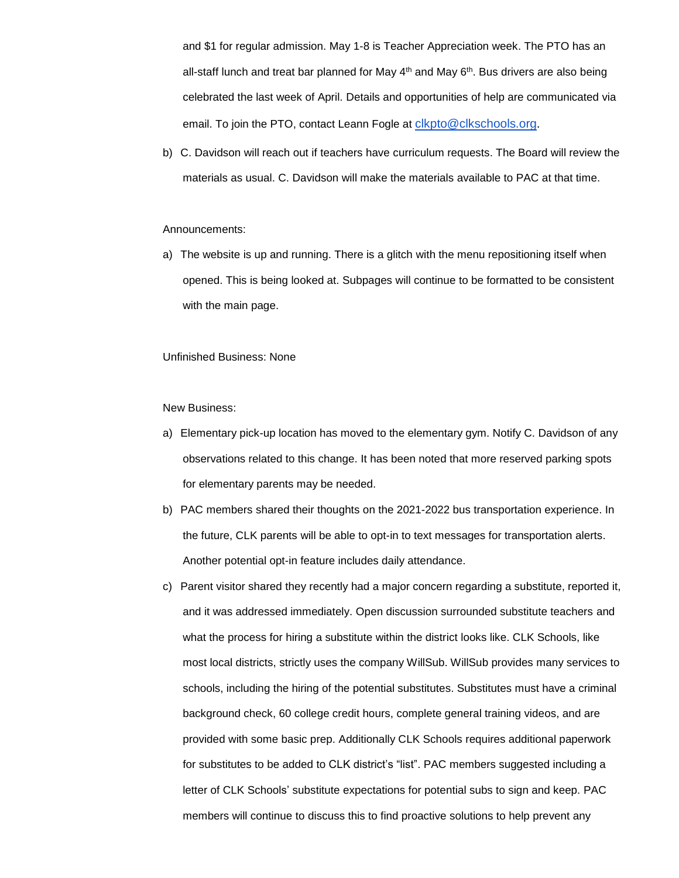and \$1 for regular admission. May 1-8 is Teacher Appreciation week. The PTO has an all-staff lunch and treat bar planned for May 4<sup>th</sup> and May 6<sup>th</sup>. Bus drivers are also being celebrated the last week of April. Details and opportunities of help are communicated via email. To join the PTO, contact Leann Fogle at [clkpto@clkschools.org](mailto:clkpto@clkschools.org).

b) C. Davidson will reach out if teachers have curriculum requests. The Board will review the materials as usual. C. Davidson will make the materials available to PAC at that time.

#### Announcements:

a) The website is up and running. There is a glitch with the menu repositioning itself when opened. This is being looked at. Subpages will continue to be formatted to be consistent with the main page.

#### Unfinished Business: None

#### New Business:

- a) Elementary pick-up location has moved to the elementary gym. Notify C. Davidson of any observations related to this change. It has been noted that more reserved parking spots for elementary parents may be needed.
- b) PAC members shared their thoughts on the 2021-2022 bus transportation experience. In the future, CLK parents will be able to opt-in to text messages for transportation alerts. Another potential opt-in feature includes daily attendance.
- c) Parent visitor shared they recently had a major concern regarding a substitute, reported it, and it was addressed immediately. Open discussion surrounded substitute teachers and what the process for hiring a substitute within the district looks like. CLK Schools, like most local districts, strictly uses the company WillSub. WillSub provides many services to schools, including the hiring of the potential substitutes. Substitutes must have a criminal background check, 60 college credit hours, complete general training videos, and are provided with some basic prep. Additionally CLK Schools requires additional paperwork for substitutes to be added to CLK district's "list". PAC members suggested including a letter of CLK Schools' substitute expectations for potential subs to sign and keep. PAC members will continue to discuss this to find proactive solutions to help prevent any